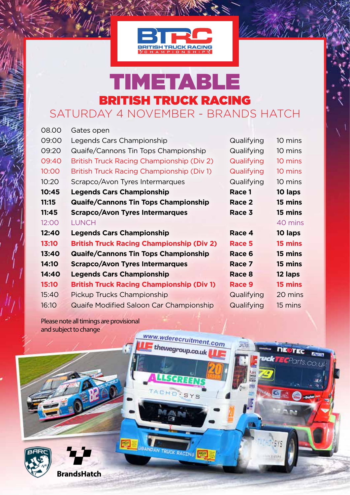

## BRITISH TRUCK RACING SATURDAY 4 NOVEMBER - BRANDS HATCH TIMETABLE

| 08.00 | Gates open                                       |            |         |
|-------|--------------------------------------------------|------------|---------|
| 09:00 | Legends Cars Championship                        | Qualifying | 10 mins |
| 09:20 | Quaife/Cannons Tin Tops Championship             | Qualifying | 10 mins |
| 09:40 | British Truck Racing Championship (Div 2)        | Qualifying | 10 mins |
| 10:00 | British Truck Racing Championship (Div 1)        | Qualifying | 10 mins |
| 10:20 | Scrapco/Avon Tyres Intermarques                  | Qualifying | 10 mins |
| 10:45 | <b>Legends Cars Championship</b>                 | Race 1     | 10 laps |
| 11:15 | <b>Quaife/Cannons Tin Tops Championship</b>      | Race 2     | 15 mins |
| 11:45 | <b>Scrapco/Avon Tyres Intermarques</b>           | Race 3     | 15 mins |
| 12:00 | <b>LUNCH</b>                                     |            | 40 mins |
| 12:40 | <b>Legends Cars Championship</b>                 | Race 4     | 10 laps |
| 13:10 | <b>British Truck Racing Championship (Div 2)</b> | Race 5     | 15 mins |
| 13:40 | <b>Quaife/Cannons Tin Tops Championship</b>      | Race 6     | 15 mins |
| 14:10 | <b>Scrapco/Avon Tyres Intermarques</b>           | Race 7     | 15 mins |
| 14:40 | <b>Legends Cars Championship</b>                 | Race 8     | 12 laps |
| 15:10 | <b>British Truck Racing Championship (Div 1)</b> | Race 9     | 15 mins |
| 15:40 | Pickup Trucks Championship                       | Qualifying | 20 mins |
| 16:10 | Quaife Modified Saloon Car Championship          | Qualifying | 15 mins |
|       |                                                  |            |         |

Please note all timings are provisional and subject to change